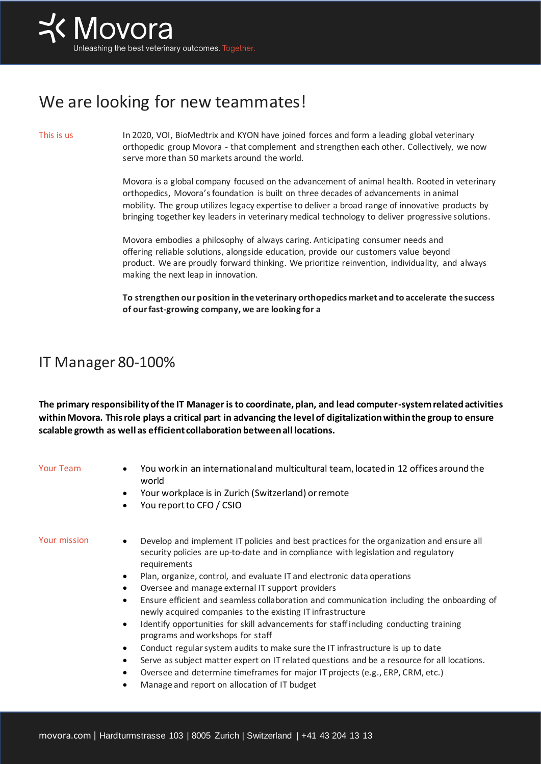## We are looking for new teammates!

This is us In 2020, VOI, BioMedtrix and KYON have joined forces and form a leading global veterinary orthopedic group Movora - that complement and strengthen each other. Collectively, we now serve more than 50 markets around the world.

> Movora is a global company focused on the advancement of animal health. Rooted in veterinary orthopedics, Movora's foundation is built on three decades of advancements in animal mobility. The group utilizes legacy expertise to deliver a broad range of innovative products by bringing together key leaders in veterinary medical technology to deliver progressive solutions.

Movora embodies a philosophy of always caring. Anticipating consumer needs and offering reliable solutions, alongside education, provide our customers value beyond product. We are proudly forward thinking. We prioritize reinvention, individuality, and always making the next leap in innovation.

**To strengthen our position in the veterinary orthopedics market and to accelerate the success of our fast-growing company, we are looking for a**

## IT Manager 80-100%

**The primary responsibility of the IT Manager is to coordinate, plan, and lead computer-system related activities within Movora. This role plays a critical part in advancing the level of digitalization within the group to ensure scalable growth as well as efficient collaboration between all locations.**

- Your Team You work in an international and multicultural team, located in 12 offices around the world
	- Your workplace is in Zurich (Switzerland) or remote
	- You report to CFO / CSIO

- Your mission Develop and implement IT policies and best practices for the organization and ensure all security policies are up-to-date and in compliance with legislation and regulatory requirements
	- Plan, organize, control, and evaluate IT and electronic data operations
	- Oversee and manage external IT support providers
	- Ensure efficient and seamless collaboration and communication including the onboarding of newly acquired companies to the existing IT infrastructure
	- Identify opportunities for skill advancements for staff including conducting training programs and workshops for staff
	- Conduct regular system audits to make sure the IT infrastructure is up to date
	- Serve as subject matter expert on IT related questions and be a resource for all locations.
	- Oversee and determine timeframes for major IT projects (e.g., ERP, CRM, etc.)
	- Manage and report on allocation of IT budget